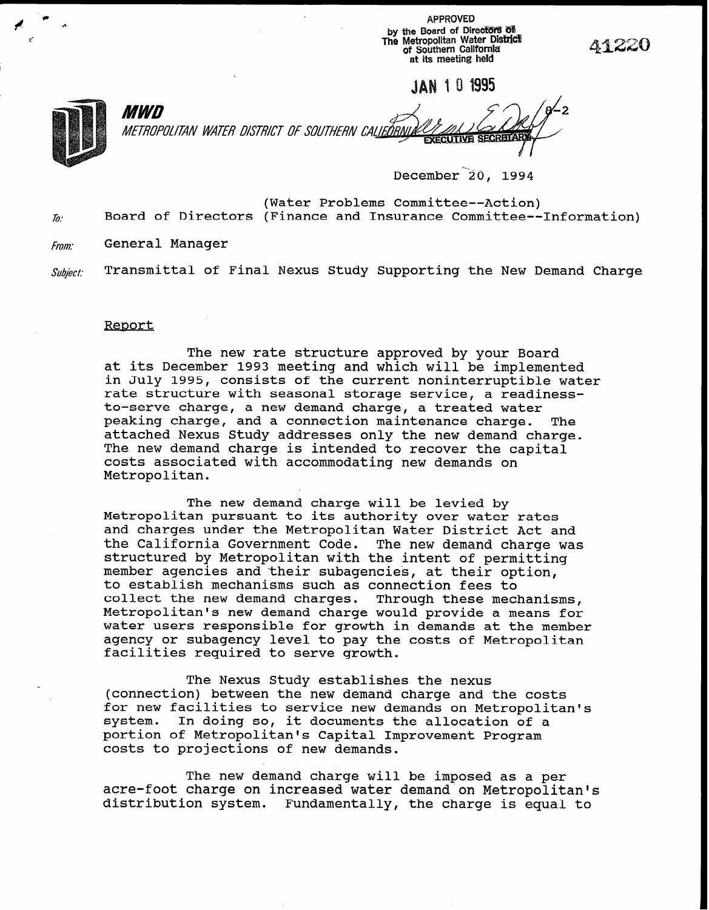APPROVED by the Board of Directors of The Metropolitan Water Diski& of Southern California' at its meeting held

**IAN 101995** 

41220



MWD  $\mathcal{A}_{\mu}$ ,  $\mathcal{F}_{\lambda}$   $\mathcal{F}_{2}$ METROPOLITAN WATER DISTRICT OF SOUTHERN CALIEORN

December 20, 1994

(Water Problems Committee--Action)  $\bar{b}$ . Board of Directors (Finance and Insurance Committee--Information)

From: General Manager

 $\mathit{Subject:}\quad$  Transmittal of Final Nexus Study Supporting the New Demand Charge

## Report

The new rate structure approved by your Board at its December 1993 meeting and which will be implemented in July 1995, consists of the current noninterruptible water rate structure with seasonal storage service, a readinessto-serve charge, a new demand charge, a treated water peaking charge, and a connection maintenance charge. The attached Nexus Study addresses only the new demand charge. The new demand charge is intended to recover the capital costs associated with accommodating new demands on Metropolitan.

The new demand charge will be levied by Metropolitan pursuant to its authority over water rates and charges under the Metropolitan Water District Act and the California Government Code. The new demand charge was structured by Metropolitan with the intent of permitting member agencies and their subagencies, at their option, to establish mechanisms such as connection fees to collect the new demand charges. Through these mechanisms, Metropolitan's new demand charge would provide a means for water users responsible for growth in demands at the member agency or subagency level to pay the costs of Metropolitan facilities required to serve growth.

The Nexus Study establishes the nexus (connection) between the new demand charge and the costs for new facilities to service new demands on Metropolitan's system. In doing so, it documents the allocation of a portion of Metropolitan's Capital Improvement Program costs to projections of new demands.

The new demand charge will be imposed as a per acre-foot charge on increased water demand on Metropolitan's distribution system. Fundamentally, the charge is equal to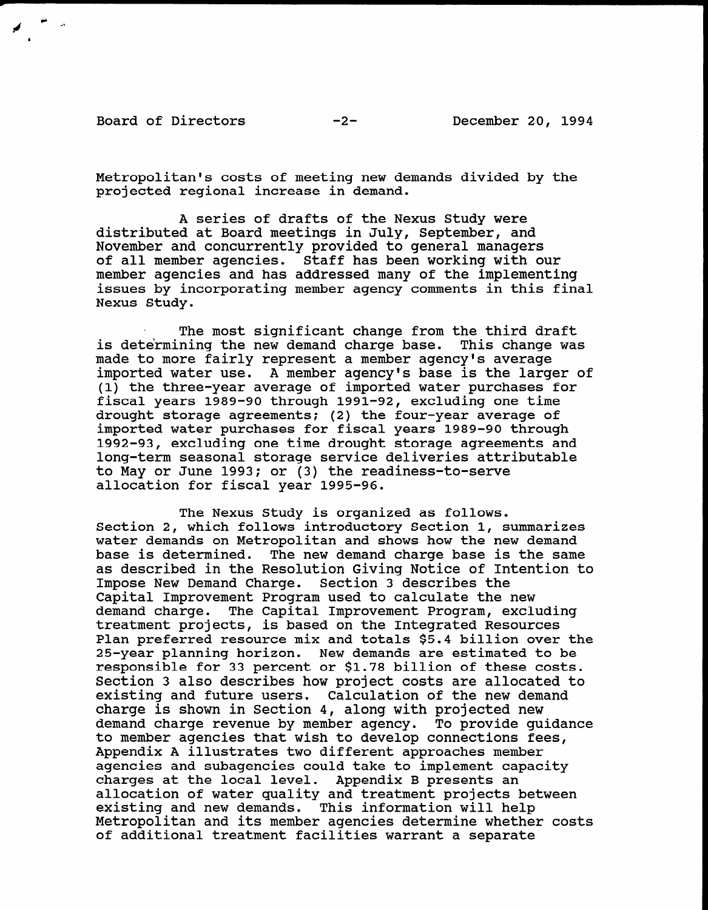Board of Directors -2- December 20, 1994

Metropolitan's costs of meeting new demands divided by the projected regional increase in demand.

A series of drafts of the Nexus Study were distributed at Board meetings in July, September, and November and concurrently provided to general managers of all member agencies. Staff has been working with our member agencies and has addressed many of the implementing issues by incorporating member agency comments in this final Nexus Study.

The most significant change from the third draft is determining the new demand charge base. This change was made to more fairly represent a member agency's average imported water use. A member agency's base is the larger of (1) the three-year average of imported water purchases for fiscal years 1989-90 through 1991-92, excluding one time drought storage agreements: (2) the four-year average of imported water purchases for fiscal years 1989-90 through 1992-93, excluding one time drought storage agreements and long-term seasonal storage service deliveries attributable to May on June 1993; or (3) the readiness-to-server to-server to-server to-server to-server to-server to-server co may of June 1993; Of (3) the re

The Nexus Study is organized as follows. THE NEXUS SUUDY IS OFGANIZED AS IOIIOWS.<br>Section 2, which follows interalesting Section 1, summarizes water demands on Metropolitan and shows how the new demand<br>Section demands on Metropolitan and shows how the new demand water demands on Metropolitan and shows how the new demand base is determined. The new demand charge base is the same as described in the Resolution Giving Notice of Intention to Impose New Demand Charge. Section 3 describes the Capital Improvement Program used to calculate the new demand charge. The Capital Improvement Program, excluding treatment projects, is based on the Integrated Resources Plan preferred resource mix and totals \$5.4 billion over the 25-year planning horizon. New demands are estimated to be responsible for 33 percent or \$1.78 billion of these costs. Section 3 also describes how project costs are allocated to existing and future users. Calculation of the new demand charge is shown in Section 4, along with projected new demand charge revenue by member agency. To provide quidance to member agencies that wish to develop connections fees, Appendix A illustrates two different approaches member agencies and subagencies could take to implement capacity charges at the local level. Appendix B presents an allocation of water quality and treatment projects between existing and new demands. This information will help Metropolitan and its member agencies determine whether costs of additional treatment facilities warrant a separate